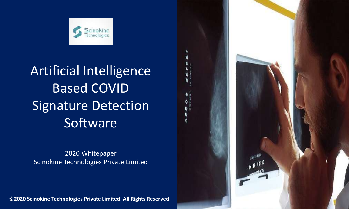

## Artificial Intelligence Based COVID Signature Detection Software

#### 2020 Whitepaper Scinokine Technologies Private Limited

**©2020 Scinokine Technologies Private Limited. All Rights Reserved**

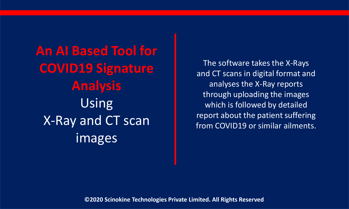**An AI Based Tool for COVID19 Signature Analysis**  Using X-Ray and CT scan images

The software takes the X-Rays and CT scans in digital format and analyses the X-Ray reports through uploading the images which is followed by detailed report about the patient suffering from COVID19 or similar ailments.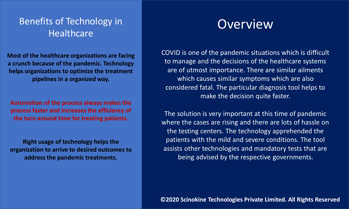#### Benefits of Technology in **Healthcare**

**Most of the healthcare organizations are facing a crunch because of the pandemic. Technology helps organizations to optimize the treatment pipelines in a organized way.**

**Automation of the process always makes the process faster and increases the efficiency of the turn around time for treating patients.**

**Right usage of technology helps the organization to arrive to desired outcomes to address the pandemic treatments.** 

### **Overview**

COVID is one of the pandemic situations which is difficult to manage and the decisions of the healthcare systems are of utmost importance. There are similar ailments which causes similar symptoms which are also considered fatal. The particular diagnosis tool helps to make the decision quite faster.

The solution is very important at this time of pandemic where the cases are rising and there are lots of hassle on the testing centers. The technology apprehended the patients with the mild and severe conditions. The tool assists other technologies and mandatory tests that are being advised by the respective governments.

**©2020 Scinokine Technologies Private Limited. All Rights Reserved**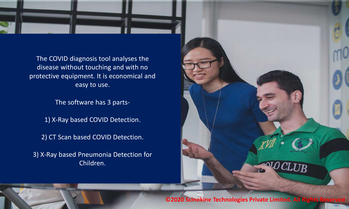

The COVID diagnosis tool analyses the disease without touching and with no protective equipment. It is economical and easy to use.

The software has 3 parts-

1) X-Ray based COVID Detection.

2) CT Scan based COVID Detection.

3) X-Ray based Pneumonia Detection for Children.



**©2020 Scinokine Technologies Private Limited. All Ri** 

Confidential Information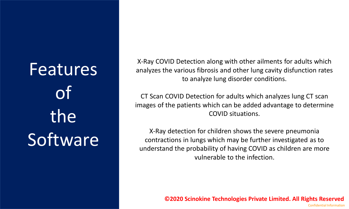# Features of the Software

X-Ray COVID Detection along with other ailments for adults which analyzes the various fibrosis and other lung cavity disfunction rates to analyze lung disorder conditions.

CT Scan COVID Detection for adults which analyzes lung CT scan images of the patients which can be added advantage to determine COVID situations.

X-Ray detection for children shows the severe pneumonia contractions in lungs which may be further investigated as to understand the probability of having COVID as children are more vulnerable to the infection.

**©2020 Scinokine Technologies Private Limited. All Rights Reserved**

Confidential Information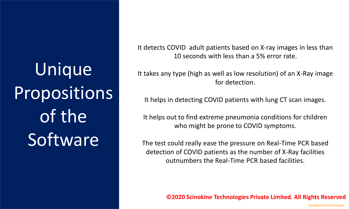# Unique Propositions of the **Software**

It detects COVID adult patients based on X-ray images in less than 10 seconds with less than a 5% error rate.

It takes any type (high as well as low resolution) of an X-Ray image for detection.

It helps in detecting COVID patients with lung CT scan images.

It helps out to find extreme pneumonia conditions for children who might be prone to COVID symptoms.

The test could really ease the pressure on Real-Time PCR based detection of COVID patients as the number of X-Ray facilities outnumbers the Real-Time PCR based facilities.

**©2020 Scinokine Technologies Private Limited. All Rights Reserved**

Confidential Information